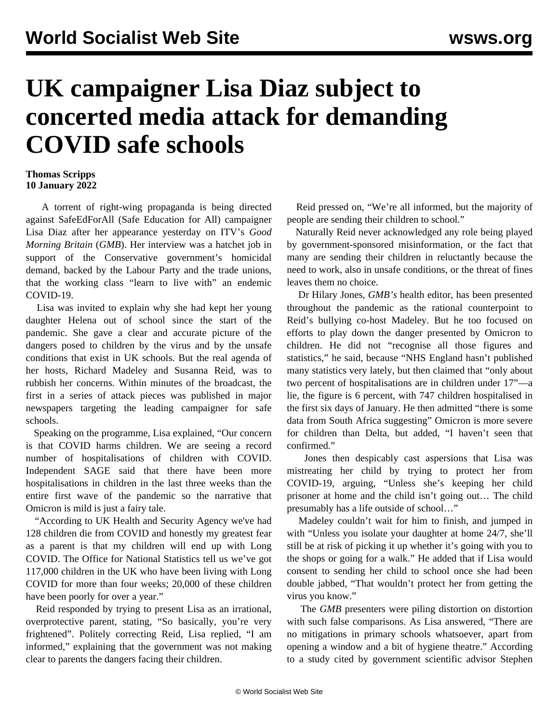## **UK campaigner Lisa Diaz subject to concerted media attack for demanding COVID safe schools**

## **Thomas Scripps 10 January 2022**

 A torrent of right-wing propaganda is being directed against SafeEdForAll (Safe Education for All) campaigner Lisa Diaz after her appearance yesterday on ITV's *Good Morning Britain* (*GMB*). Her interview was a hatchet job in support of the Conservative government's homicidal demand, backed by the Labour Party and the trade unions, that the working class "learn to live with" an endemic COVID-19.

 Lisa was invited to explain why she had kept her young daughter Helena out of school since the start of the pandemic. She gave a clear and accurate picture of the dangers posed to children by the virus and by the unsafe conditions that exist in UK schools. But the real agenda of her hosts, Richard Madeley and Susanna Reid, was to rubbish her concerns. Within minutes of the broadcast, the first in a series of attack pieces was published in major newspapers targeting the leading campaigner for safe schools.

 Speaking on the programme, Lisa explained, "Our concern is that COVID harms children. We are seeing a record number of hospitalisations of children with COVID. Independent SAGE said that there have been more hospitalisations in children in the last three weeks than the entire first wave of the pandemic so the narrative that Omicron is mild is just a fairy tale.

 "According to UK Health and Security Agency we've had 128 children die from COVID and honestly my greatest fear as a parent is that my children will end up with Long COVID. The Office for National Statistics tell us we've got 117,000 children in the UK who have been living with Long COVID for more than four weeks; 20,000 of these children have been poorly for over a year."

 Reid responded by trying to present Lisa as an irrational, overprotective parent, stating, "So basically, you're very frightened". Politely correcting Reid, Lisa replied, "I am informed," explaining that the government was not making clear to parents the dangers facing their children.

 Reid pressed on, "We're all informed, but the majority of people are sending their children to school."

 Naturally Reid never acknowledged any role being played by government-sponsored misinformation, or the fact that many are sending their children in reluctantly because the need to work, also in unsafe conditions, or the threat of fines leaves them no choice.

 Dr Hilary Jones, *GMB's* health editor, has been presented throughout the pandemic as the rational counterpoint to Reid's bullying co-host Madeley. But he too focused on efforts to play down the danger presented by Omicron to children. He did not "recognise all those figures and statistics," he said, because "NHS England hasn't published many statistics very lately, but then claimed that "only about two percent of hospitalisations are in children under 17"—a lie, the figure is 6 percent, with 747 children hospitalised in the first six days of January. He then admitted "there is some data from South Africa suggesting" Omicron is more severe for children than Delta, but added, "I haven't seen that confirmed."

 Jones then despicably cast aspersions that Lisa was mistreating her child by trying to protect her from COVID-19, arguing, "Unless she's keeping her child prisoner at home and the child isn't going out… The child presumably has a life outside of school…"

 Madeley couldn't wait for him to finish, and jumped in with "Unless you isolate your daughter at home 24/7, she'll still be at risk of picking it up whether it's going with you to the shops or going for a walk." He added that if Lisa would consent to sending her child to school once she had been double jabbed, "That wouldn't protect her from getting the virus you know."

 The *GMB* presenters were piling distortion on distortion with such false comparisons. As Lisa answered, "There are no mitigations in primary schools whatsoever, apart from opening a window and a bit of hygiene theatre." According to a study cited by government scientific advisor Stephen